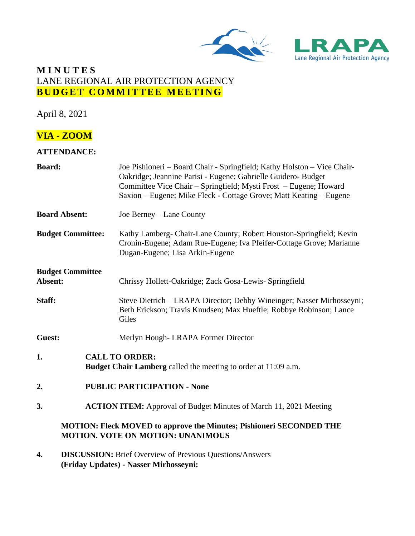



## **M I N U T E S** LANE REGIONAL AIR PROTECTION AGENCY **BUDGET COMMITTEE MEETING**

April 8, 2021

# **VIA - ZOOM**

#### **ATTENDANCE:**

| <b>Board:</b>            |                                                                                                           | Joe Pishioneri – Board Chair - Springfield; Kathy Holston – Vice Chair-<br>Oakridge; Jeannine Parisi - Eugene; Gabrielle Guidero- Budget<br>Committee Vice Chair – Springfield; Mysti Frost – Eugene; Howard<br>Saxion – Eugene; Mike Fleck - Cottage Grove; Matt Keating – Eugene |
|--------------------------|-----------------------------------------------------------------------------------------------------------|------------------------------------------------------------------------------------------------------------------------------------------------------------------------------------------------------------------------------------------------------------------------------------|
| <b>Board Absent:</b>     |                                                                                                           | Joe Berney – Lane County                                                                                                                                                                                                                                                           |
| <b>Budget Committee:</b> |                                                                                                           | Kathy Lamberg- Chair-Lane County; Robert Houston-Springfield; Kevin<br>Cronin-Eugene; Adam Rue-Eugene; Iva Pfeifer-Cottage Grove; Marianne<br>Dugan-Eugene; Lisa Arkin-Eugene                                                                                                      |
| Absent:                  | <b>Budget Committee</b>                                                                                   | Chrissy Hollett-Oakridge; Zack Gosa-Lewis- Springfield                                                                                                                                                                                                                             |
| Staff:                   |                                                                                                           | Steve Dietrich - LRAPA Director; Debby Wineinger; Nasser Mirhosseyni;<br>Beth Erickson; Travis Knudsen; Max Hueftle; Robbye Robinson; Lance<br>Giles                                                                                                                               |
| Guest:                   |                                                                                                           | Merlyn Hough-LRAPA Former Director                                                                                                                                                                                                                                                 |
| 1.                       |                                                                                                           | <b>CALL TO ORDER:</b><br><b>Budget Chair Lamberg</b> called the meeting to order at 11:09 a.m.                                                                                                                                                                                     |
| 2.                       | <b>PUBLIC PARTICIPATION - None</b>                                                                        |                                                                                                                                                                                                                                                                                    |
| 3.                       | <b>ACTION ITEM:</b> Approval of Budget Minutes of March 11, 2021 Meeting                                  |                                                                                                                                                                                                                                                                                    |
|                          |                                                                                                           | <b>MOTION: Fleck MOVED to approve the Minutes; Pishioneri SECONDED THE</b><br><b>MOTION. VOTE ON MOTION: UNANIMOUS</b>                                                                                                                                                             |
| 4.                       | <b>DISCUSSION:</b> Brief Overview of Previous Questions/Answers<br>(Friday Updates) - Nasser Mirhosseyni: |                                                                                                                                                                                                                                                                                    |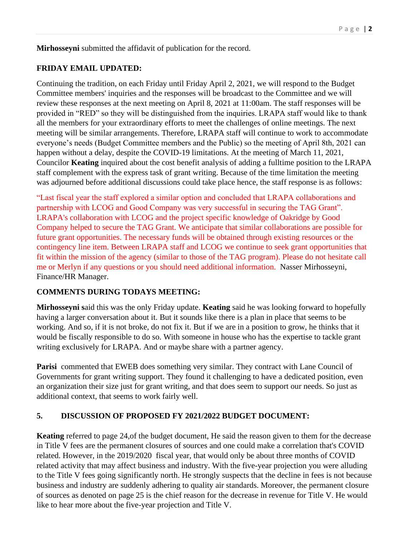**Mirhosseyni** submitted the affidavit of publication for the record.

#### **FRIDAY EMAIL UPDATED:**

Continuing the tradition, on each Friday until Friday April 2, 2021, we will respond to the Budget Committee members' inquiries and the responses will be broadcast to the Committee and we will review these responses at the next meeting on April 8, 2021 at 11:00am. The staff responses will be provided in "RED" so they will be distinguished from the inquiries. LRAPA staff would like to thank all the members for your extraordinary efforts to meet the challenges of online meetings. The next meeting will be similar arrangements. Therefore, LRAPA staff will continue to work to accommodate everyone's needs (Budget Committee members and the Public) so the meeting of April 8th, 2021 can happen without a delay, despite the COVID-19 limitations. At the meeting of March 11, 2021, Councilor **Keating** inquired about the cost benefit analysis of adding a fulltime position to the LRAPA staff complement with the express task of grant writing. Because of the time limitation the meeting was adjourned before additional discussions could take place hence, the staff response is as follows:

"Last fiscal year the staff explored a similar option and concluded that LRAPA collaborations and partnership with LCOG and Good Company was very successful in securing the TAG Grant". LRAPA's collaboration with LCOG and the project specific knowledge of Oakridge by Good Company helped to secure the TAG Grant. We anticipate that similar collaborations are possible for future grant opportunities. The necessary funds will be obtained through existing resources or the contingency line item. Between LRAPA staff and LCOG we continue to seek grant opportunities that fit within the mission of the agency (similar to those of the TAG program). Please do not hesitate call me or Merlyn if any questions or you should need additional information. Nasser Mirhosseyni, Finance/HR Manager.

#### **COMMENTS DURING TODAYS MEETING:**

**Mirhosseyni s**aid this was the only Friday update. **Keating** said he was looking forward to hopefully having a larger conversation about it. But it sounds like there is a plan in place that seems to be working. And so, if it is not broke, do not fix it. But if we are in a position to grow, he thinks that it would be fiscally responsible to do so. With someone in house who has the expertise to tackle grant writing exclusively for LRAPA. And or maybe share with a partner agency.

**Parisi** commented that EWEB does something very similar. They contract with Lane Council of Governments for grant writing support. They found it challenging to have a dedicated position, even an organization their size just for grant writing, and that does seem to support our needs. So just as additional context, that seems to work fairly well.

## **5. DISCUSSION OF PROPOSED FY 2021/2022 BUDGET DOCUMENT:**

**Keating** referred to page 24,of the budget document, He said the reason given to them for the decrease in Title V fees are the permanent closures of sources and one could make a correlation that's COVID related. However, in the 2019/2020 fiscal year, that would only be about three months of COVID related activity that may affect business and industry. With the five-year projection you were alluding to the Title V fees going significantly north. He strongly suspects that the decline in fees is not because business and industry are suddenly adhering to quality air standards. Moreover, the permanent closure of sources as denoted on page 25 is the chief reason for the decrease in revenue for Title V. He would like to hear more about the five-year projection and Title V.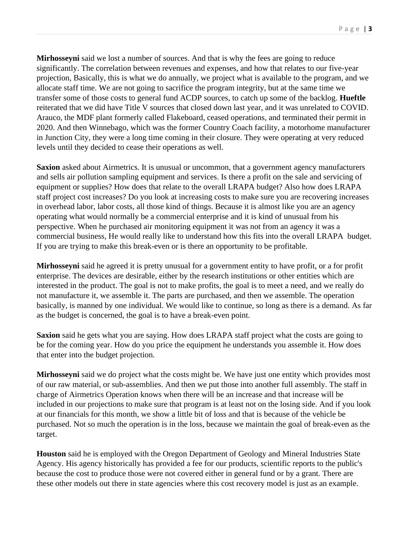**Mirhosseyni** said we lost a number of sources. And that is why the fees are going to reduce significantly. The correlation between revenues and expenses, and how that relates to our five-year projection, Basically, this is what we do annually, we project what is available to the program, and we allocate staff time. We are not going to sacrifice the program integrity, but at the same time we transfer some of those costs to general fund ACDP sources, to catch up some of the backlog. **Hueftle** reiterated that we did have Title V sources that closed down last year, and it was unrelated to COVID. Arauco, the MDF plant formerly called Flakeboard, ceased operations, and terminated their permit in 2020. And then Winnebago, which was the former Country Coach facility, a motorhome manufacturer in Junction City, they were a long time coming in their closure. They were operating at very reduced levels until they decided to cease their operations as well.

**Saxion** asked about Airmetrics. It is unusual or uncommon, that a government agency manufacturers and sells air pollution sampling equipment and services. Is there a profit on the sale and servicing of equipment or supplies? How does that relate to the overall LRAPA budget? Also how does LRAPA staff project cost increases? Do you look at increasing costs to make sure you are recovering increases in overhead labor, labor costs, all those kind of things. Because it is almost like you are an agency operating what would normally be a commercial enterprise and it is kind of unusual from his perspective. When he purchased air monitoring equipment it was not from an agency it was a commercial business, He would really like to understand how this fits into the overall LRAPA budget. If you are trying to make this break-even or is there an opportunity to be profitable.

**Mirhosseyni** said he agreed it is pretty unusual for a government entity to have profit, or a for profit enterprise. The devices are desirable, either by the research institutions or other entities which are interested in the product. The goal is not to make profits, the goal is to meet a need, and we really do not manufacture it, we assemble it. The parts are purchased, and then we assemble. The operation basically, is manned by one individual. We would like to continue, so long as there is a demand. As far as the budget is concerned, the goal is to have a break-even point.

**Saxion** said he gets what you are saying. How does LRAPA staff project what the costs are going to be for the coming year. How do you price the equipment he understands you assemble it. How does that enter into the budget projection.

**Mirhosseyni** said we do project what the costs might be. We have just one entity which provides most of our raw material, or sub-assemblies. And then we put those into another full assembly. The staff in charge of Airmetrics Operation knows when there will be an increase and that increase will be included in our projections to make sure that program is at least not on the losing side. And if you look at our financials for this month, we show a little bit of loss and that is because of the vehicle be purchased. Not so much the operation is in the loss, because we maintain the goal of break-even as the target.

**Houston** said he is employed with the Oregon Department of Geology and Mineral Industries State Agency. His agency historically has provided a fee for our products, scientific reports to the public's because the cost to produce those were not covered either in general fund or by a grant. There are these other models out there in state agencies where this cost recovery model is just as an example.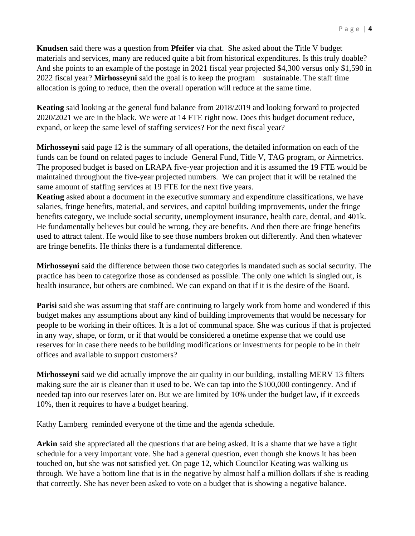**Knudsen** said there was a question from **Pfeifer** via chat. She asked about the Title V budget materials and services, many are reduced quite a bit from historical expenditures. Is this truly doable? And she points to an example of the postage in 2021 fiscal year projected \$4,300 versus only \$1,590 in 2022 fiscal year? **Mirhosseyni** said the goal is to keep the program sustainable. The staff time allocation is going to reduce, then the overall operation will reduce at the same time.

**Keating** said looking at the general fund balance from 2018/2019 and looking forward to projected 2020/2021 we are in the black. We were at 14 FTE right now. Does this budget document reduce, expand, or keep the same level of staffing services? For the next fiscal year?

**Mirhosseyni** said page 12 is the summary of all operations, the detailed information on each of the funds can be found on related pages to include General Fund, Title V, TAG program, or Airmetrics. The proposed budget is based on LRAPA five-year projection and it is assumed the 19 FTE would be maintained throughout the five-year projected numbers. We can project that it will be retained the same amount of staffing services at 19 FTE for the next five years.

**Keating** asked about a document in the executive summary and expenditure classifications, we have salaries, fringe benefits, material, and services, and capitol building improvements, under the fringe benefits category, we include social security, unemployment insurance, health care, dental, and 401k. He fundamentally believes but could be wrong, they are benefits. And then there are fringe benefits used to attract talent. He would like to see those numbers broken out differently. And then whatever are fringe benefits. He thinks there is a fundamental difference.

**Mirhosseyni** said the difference between those two categories is mandated such as social security. The practice has been to categorize those as condensed as possible. The only one which is singled out, is health insurance, but others are combined. We can expand on that if it is the desire of the Board.

**Parisi** said she was assuming that staff are continuing to largely work from home and wondered if this budget makes any assumptions about any kind of building improvements that would be necessary for people to be working in their offices. It is a lot of communal space. She was curious if that is projected in any way, shape, or form, or if that would be considered a onetime expense that we could use reserves for in case there needs to be building modifications or investments for people to be in their offices and available to support customers?

**Mirhosseyni** said we did actually improve the air quality in our building, installing MERV 13 filters making sure the air is cleaner than it used to be. We can tap into the \$100,000 contingency. And if needed tap into our reserves later on. But we are limited by 10% under the budget law, if it exceeds 10%, then it requires to have a budget hearing.

Kathy Lamberg reminded everyone of the time and the agenda schedule.

**Arkin** said she appreciated all the questions that are being asked. It is a shame that we have a tight schedule for a very important vote. She had a general question, even though she knows it has been touched on, but she was not satisfied yet. On page 12, which Councilor Keating was walking us through. We have a bottom line that is in the negative by almost half a million dollars if she is reading that correctly. She has never been asked to vote on a budget that is showing a negative balance.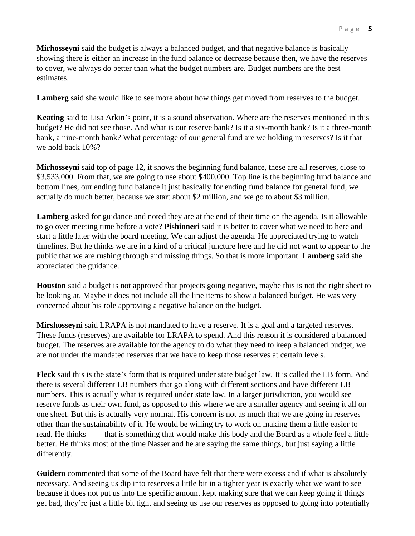**Mirhosseyni** said the budget is always a balanced budget, and that negative balance is basically showing there is either an increase in the fund balance or decrease because then, we have the reserves to cover, we always do better than what the budget numbers are. Budget numbers are the best estimates.

**Lamberg** said she would like to see more about how things get moved from reserves to the budget.

**Keating** said to Lisa Arkin's point, it is a sound observation. Where are the reserves mentioned in this budget? He did not see those. And what is our reserve bank? Is it a six-month bank? Is it a three-month bank, a nine-month bank? What percentage of our general fund are we holding in reserves? Is it that we hold back 10%?

**Mirhosseyni** said top of page 12, it shows the beginning fund balance, these are all reserves, close to \$3,533,000. From that, we are going to use about \$400,000. Top line is the beginning fund balance and bottom lines, our ending fund balance it just basically for ending fund balance for general fund, we actually do much better, because we start about \$2 million, and we go to about \$3 million.

**Lamberg** asked for guidance and noted they are at the end of their time on the agenda. Is it allowable to go over meeting time before a vote? **Pishioneri** said it is better to cover what we need to here and start a little later with the board meeting. We can adjust the agenda. He appreciated trying to watch timelines. But he thinks we are in a kind of a critical juncture here and he did not want to appear to the public that we are rushing through and missing things. So that is more important. **Lamberg** said she appreciated the guidance.

**Houston** said a budget is not approved that projects going negative, maybe this is not the right sheet to be looking at. Maybe it does not include all the line items to show a balanced budget. He was very concerned about his role approving a negative balance on the budget.

**Mirshosseyni** said LRAPA is not mandated to have a reserve. It is a goal and a targeted reserves. These funds (reserves) are available for LRAPA to spend. And this reason it is considered a balanced budget. The reserves are available for the agency to do what they need to keep a balanced budget, we are not under the mandated reserves that we have to keep those reserves at certain levels.

**Fleck** said this is the state's form that is required under state budget law. It is called the LB form. And there is several different LB numbers that go along with different sections and have different LB numbers. This is actually what is required under state law. In a larger jurisdiction, you would see reserve funds as their own fund, as opposed to this where we are a smaller agency and seeing it all on one sheet. But this is actually very normal. His concern is not as much that we are going in reserves other than the sustainability of it. He would be willing try to work on making them a little easier to read. He thinks that is something that would make this body and the Board as a whole feel a little better. He thinks most of the time Nasser and he are saying the same things, but just saying a little differently.

**Guidero** commented that some of the Board have felt that there were excess and if what is absolutely necessary. And seeing us dip into reserves a little bit in a tighter year is exactly what we want to see because it does not put us into the specific amount kept making sure that we can keep going if things get bad, they're just a little bit tight and seeing us use our reserves as opposed to going into potentially